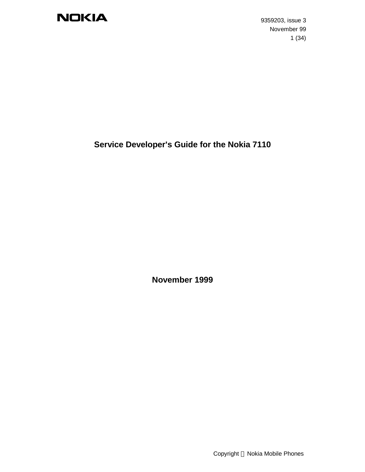9359203, issue 3 November 99 1 (34)

## **Service Developer's Guide for the Nokia 7110**

**November 1999**

Copyright © Nokia Mobile Phones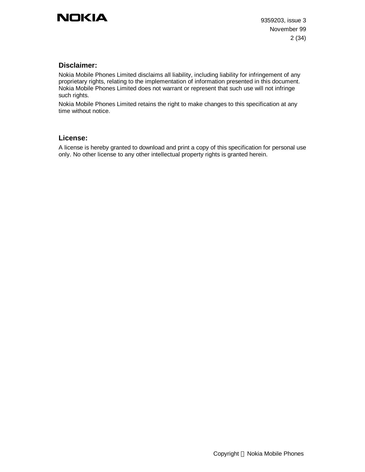### **Disclaimer:**

Nokia Mobile Phones Limited disclaims all liability, including liability for infringement of any proprietary rights, relating to the implementation of information presented in this document. Nokia Mobile Phones Limited does not warrant or represent that such use will not infringe such rights.

Nokia Mobile Phones Limited retains the right to make changes to this specification at any time without notice.

#### **License:**

A license is hereby granted to download and print a copy of this specification for personal use only. No other license to any other intellectual property rights is granted herein.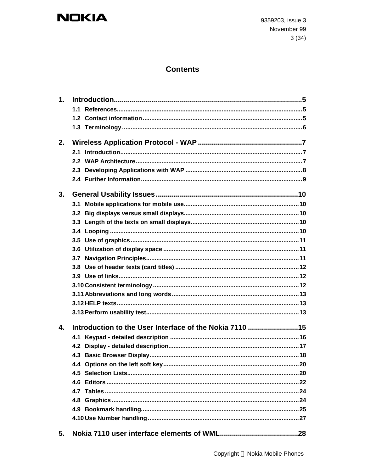9359203, issue 3 November 99  $3(34)$ 

## **Contents**

| 1.           |                                                         |  |
|--------------|---------------------------------------------------------|--|
|              |                                                         |  |
|              |                                                         |  |
|              |                                                         |  |
| 2.           |                                                         |  |
|              |                                                         |  |
|              |                                                         |  |
|              |                                                         |  |
|              |                                                         |  |
|              |                                                         |  |
| 3.           |                                                         |  |
|              |                                                         |  |
|              |                                                         |  |
|              |                                                         |  |
|              |                                                         |  |
|              |                                                         |  |
|              |                                                         |  |
|              |                                                         |  |
|              |                                                         |  |
|              |                                                         |  |
|              |                                                         |  |
|              |                                                         |  |
|              |                                                         |  |
|              |                                                         |  |
| $\mathbf{4}$ | Introduction to the User Interface of the Nokia 7110 15 |  |
|              |                                                         |  |
|              | 4.2                                                     |  |
|              |                                                         |  |
|              |                                                         |  |
|              |                                                         |  |
|              |                                                         |  |
|              |                                                         |  |
|              |                                                         |  |
|              |                                                         |  |
|              |                                                         |  |
| 5.           |                                                         |  |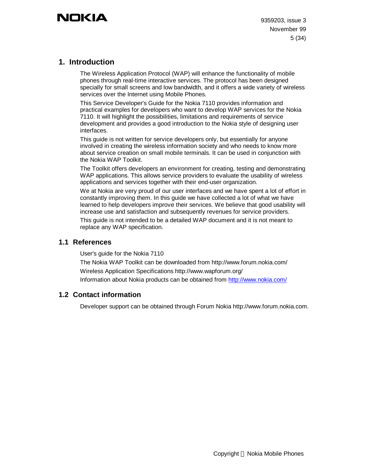## **1. Introduction**

The Wireless Application Protocol (WAP) will enhance the functionality of mobile phones through real-time interactive services. The protocol has been designed specially for small screens and low bandwidth, and it offers a wide variety of wireless services over the Internet using Mobile Phones.

This Service Developer's Guide for the Nokia 7110 provides information and practical examples for developers who want to develop WAP services for the Nokia 7110. It will highlight the possibilities, limitations and requirements of service development and provides a good introduction to the Nokia style of designing user interfaces.

This guide is not written for service developers only, but essentially for anyone involved in creating the wireless information society and who needs to know more about service creation on small mobile terminals. It can be used in conjunction with the Nokia WAP Toolkit.

The Toolkit offers developers an environment for creating, testing and demonstrating WAP applications. This allows service providers to evaluate the usability of wireless applications and services together with their end-user organization.

We at Nokia are very proud of our user interfaces and we have spent a lot of effort in constantly improving them. In this guide we have collected a lot of what we have learned to help developers improve their services. We believe that good usability will increase use and satisfaction and subsequently revenues for service providers.

This guide is not intended to be a detailed WAP document and it is not meant to replace any WAP specification.

### **1.1 References**

User's guide for the Nokia 7110

The Nokia WAP Toolkit can be downloaded from http://www.forum.nokia.com/ Wireless Application Specifications http://www.wapforum.org/ Information about Nokia products can be obtained from http://www.nokia.com/

### **1.2 Contact information**

Developer support can be obtained through Forum Nokia http://www.forum.nokia.com.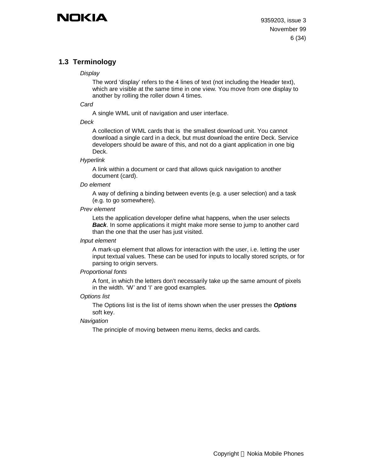## **1.3 Terminology**

#### *Display*

The word 'display' refers to the 4 lines of text (not including the Header text), which are visible at the same time in one view. You move from one display to another by rolling the roller down 4 times.

#### *Card*

A single WML unit of navigation and user interface.

#### *Deck*

A collection of WML cards that is the smallest download unit. You cannot download a single card in a deck, but must download the entire Deck. Service developers should be aware of this, and not do a giant application in one big Deck.

#### *Hyperlink*

A link within a document or card that allows quick navigation to another document (card).

#### *Do element*

A way of defining a binding between events (e.g. a user selection) and a task (e.g. to go somewhere).

#### *Prev element*

Lets the application developer define what happens, when the user selects *Back*. In some applications it might make more sense to jump to another card than the one that the user has just visited.

#### *Input element*

A mark-up element that allows for interaction with the user, i.e. letting the user input textual values. These can be used for inputs to locally stored scripts, or for parsing to origin servers.

#### *Proportional fonts*

A font, in which the letters don't necessarily take up the same amount of pixels in the width. 'W' and 'I' are good examples.

#### *Options list*

The Options list is the list of items shown when the user presses the *Options* soft key.

#### *Navigation*

The principle of moving between menu items, decks and cards.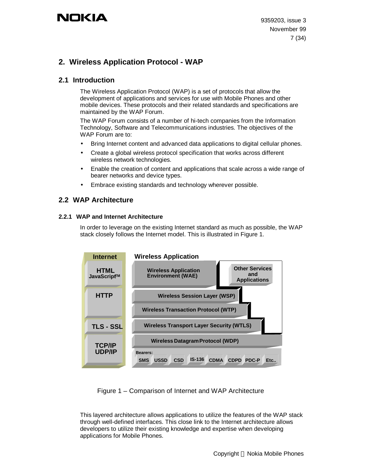## **2. Wireless Application Protocol - WAP**

### **2.1 Introduction**

The Wireless Application Protocol (WAP) is a set of protocols that allow the development of applications and services for use with Mobile Phones and other mobile devices. These protocols and their related standards and specifications are maintained by the WAP Forum.

The WAP Forum consists of a number of hi-tech companies from the Information Technology, Software and Telecommunications industries. The objectives of the WAP Forum are to:

- Bring Internet content and advanced data applications to digital cellular phones.
- Create a global wireless protocol specification that works across different wireless network technologies.
- Enable the creation of content and applications that scale across a wide range of bearer networks and device types.
- Embrace existing standards and technology wherever possible.

### **2.2 WAP Architecture**

#### **2.2.1 WAP and Internet Architecture**

In order to leverage on the existing Internet standard as much as possible, the WAP stack closely follows the Internet model. This is illustrated in Figure 1.



Figure 1 – Comparison of Internet and WAP Architecture

This layered architecture allows applications to utilize the features of the WAP stack through well-defined interfaces. This close link to the Internet architecture allows developers to utilize their existing knowledge and expertise when developing applications for Mobile Phones.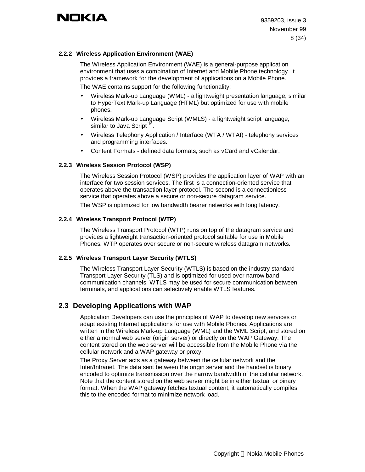#### **2.2.2 Wireless Application Environment (WAE)**

The Wireless Application Environment (WAE) is a general-purpose application environment that uses a combination of Internet and Mobile Phone technology. It provides a framework for the development of applications on a Mobile Phone. The WAE contains support for the following functionality:

- Wireless Mark-up Language (WML) a lightweight presentation language, similar to HyperText Mark-up Language (HTML) but optimized for use with mobile phones.
- Wireless Mark-up Language Script (WMLS) a lightweight script language, similar to Java Script $<sup>T1</sup>$ </sup> .
- Wireless Telephony Application / Interface (WTA / WTAI) telephony services and programming interfaces.
- Content Formats defined data formats, such as vCard and vCalendar.

#### **2.2.3 Wireless Session Protocol (WSP)**

The Wireless Session Protocol (WSP) provides the application layer of WAP with an interface for two session services. The first is a connection-oriented service that operates above the transaction layer protocol. The second is a connectionless service that operates above a secure or non-secure datagram service.

The WSP is optimized for low bandwidth bearer networks with long latency.

#### **2.2.4 Wireless Transport Protocol (WTP)**

The Wireless Transport Protocol (WTP) runs on top of the datagram service and provides a lightweight transaction-oriented protocol suitable for use in Mobile Phones. WTP operates over secure or non-secure wireless datagram networks.

#### **2.2.5 Wireless Transport Layer Security (WTLS)**

The Wireless Transport Layer Security (WTLS) is based on the industry standard Transport Layer Security (TLS) and is optimized for used over narrow band communication channels. WTLS may be used for secure communication between terminals, and applications can selectively enable WTLS features.

### **2.3 Developing Applications with WAP**

Application Developers can use the principles of WAP to develop new services or adapt existing Internet applications for use with Mobile Phones. Applications are written in the Wireless Mark-up Language (WML) and the WML Script, and stored on either a normal web server (origin server) or directly on the WAP Gateway. The content stored on the web server will be accessible from the Mobile Phone via the cellular network and a WAP gateway or proxy.

The Proxy Server acts as a gateway between the cellular network and the Inter/Intranet. The data sent between the origin server and the handset is binary encoded to optimize transmission over the narrow bandwidth of the cellular network. Note that the content stored on the web server might be in either textual or binary format. When the WAP gateway fetches textual content, it automatically compiles this to the encoded format to minimize network load.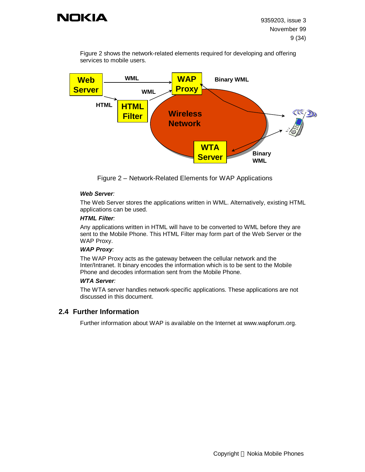

Figure 2 shows the network-related elements required for developing and offering services to mobile users.



Figure 2 – Network-Related Elements for WAP Applications

#### *Web Server:*

The Web Server stores the applications written in WML. Alternatively, existing HTML applications can be used.

#### *HTML Filter:*

Any applications written in HTML will have to be converted to WML before they are sent to the Mobile Phone. This HTML Filter may form part of the Web Server or the WAP Proxy.

#### *WAP Proxy:*

The WAP Proxy acts as the gateway between the cellular network and the Inter/Intranet. It binary encodes the information which is to be sent to the Mobile Phone and decodes information sent from the Mobile Phone.

#### *WTA Server:*

The WTA server handles network-specific applications. These applications are not discussed in this document.

#### **2.4 Further Information**

Further information about WAP is available on the Internet at www.wapforum.org.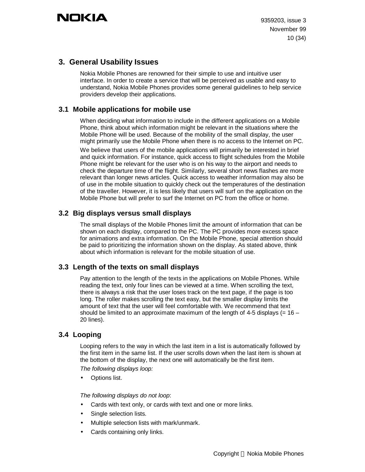## **3. General Usability Issues**

Nokia Mobile Phones are renowned for their simple to use and intuitive user interface. In order to create a service that will be perceived as usable and easy to understand, Nokia Mobile Phones provides some general guidelines to help service providers develop their applications.

## **3.1 Mobile applications for mobile use**

When deciding what information to include in the different applications on a Mobile Phone, think about which information might be relevant in the situations where the Mobile Phone will be used. Because of the mobility of the small display, the user might primarily use the Mobile Phone when there is no access to the Internet on PC.

We believe that users of the mobile applications will primarily be interested in brief and quick information. For instance, quick access to flight schedules from the Mobile Phone might be relevant for the user who is on his way to the airport and needs to check the departure time of the flight. Similarly, several short news flashes are more relevant than longer news articles. Quick access to weather information may also be of use in the mobile situation to quickly check out the temperatures of the destination of the traveller. However, it is less likely that users will surf on the application on the Mobile Phone but will prefer to surf the Internet on PC from the office or home.

## **3.2 Big displays versus small displays**

The small displays of the Mobile Phones limit the amount of information that can be shown on each display, compared to the PC. The PC provides more excess space for animations and extra information. On the Mobile Phone, special attention should be paid to prioritizing the information shown on the display. As stated above, think about which information is relevant for the mobile situation of use.

### **3.3 Length of the texts on small displays**

Pay attention to the length of the texts in the applications on Mobile Phones. While reading the text, only four lines can be viewed at a time. When scrolling the text, there is always a risk that the user loses track on the text page, if the page is too long. The roller makes scrolling the text easy, but the smaller display limits the amount of text that the user will feel comfortable with. We recommend that text should be limited to an approximate maximum of the length of 4-5 displays (=  $16 -$ 20 lines).

### **3.4 Looping**

Looping refers to the way in which the last item in a list is automatically followed by the first item in the same list. If the user scrolls down when the last item is shown at the bottom of the display, the next one will automatically be the first item.

*The following displays loop:*

Options list.

*The following displays do not loop*:

- Cards with text only, or cards with text and one or more links.
- Single selection lists.
- Multiple selection lists with mark/unmark.
- Cards containing only links.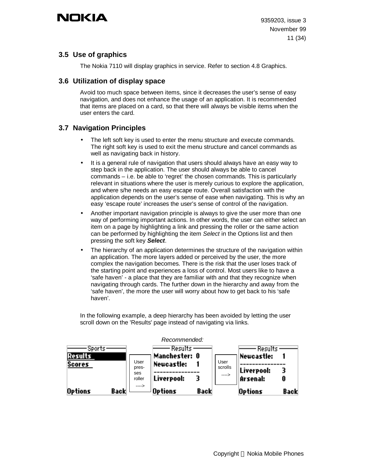## **3.5 Use of graphics**

The Nokia 7110 will display graphics in service. Refer to section 4.8 Graphics.

## **3.6 Utilization of display space**

Avoid too much space between items, since it decreases the user's sense of easy navigation, and does not enhance the usage of an application. It is recommended that items are placed on a card, so that there will always be visible items when the user enters the card.

## **3.7 Navigation Principles**

- The left soft key is used to enter the menu structure and execute commands. The right soft key is used to exit the menu structure and cancel commands as well as navigating back in history.
- It is a general rule of navigation that users should always have an easy way to step back in the application. The user should always be able to cancel commands – i.e. be able to 'regret' the chosen commands. This is particularly relevant in situations where the user is merely curious to explore the application, and where s/he needs an easy escape route. Overall satisfaction with the application depends on the user's sense of ease when navigating. This is why an easy 'escape route' increases the user's sense of control of the navigation.
- Another important navigation principle is always to give the user more than one way of performing important actions. In other words, the user can either select an item on a page by highlighting a link and pressing the roller or the same action can be performed by highlighting the item *Select* in the Options list and then pressing the soft key *Select*.
- The hierarchy of an application determines the structure of the navigation within an application. The more layers added or perceived by the user, the more complex the navigation becomes. There is the risk that the user loses track of the starting point and experiences a loss of control. Most users like to have a 'safe haven' - a place that they are familiar with and that they recognize when navigating through cards. The further down in the hierarchy and away from the 'safe haven', the more the user will worry about how to get back to his 'safe haven'.

In the following example, a deep hierarchy has been avoided by letting the user scroll down on the 'Results' page instead of navigating via links.



Copyright © Nokia Mobile Phones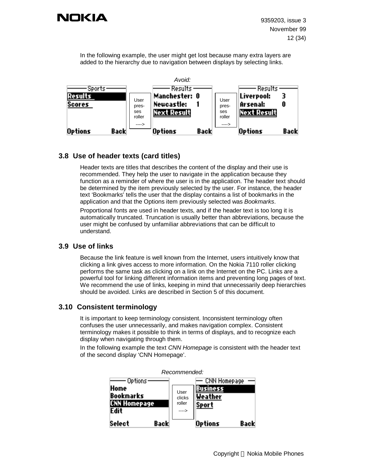

In the following example, the user might get lost because many extra layers are added to the hierarchy due to navigation between displays by selecting links.



### **3.8 Use of header texts (card titles)**

Header texts are titles that describes the content of the display and their use is recommended. They help the user to navigate in the application because they function as a reminder of where the user is in the application. The header text should be determined by the item previously selected by the user. For instance, the header text 'Bookmarks' tells the user that the display contains a list of bookmarks in the application and that the Options item previously selected was *Bookmarks*.

Proportional fonts are used in header texts, and if the header text is too long it is automatically truncated. Truncation is usually better than abbreviations, because the user might be confused by unfamiliar abbreviations that can be difficult to understand.

### **3.9 Use of links**

Because the link feature is well known from the Internet, users intuitively know that clicking a link gives access to more information. On the Nokia 7110 roller clicking performs the same task as clicking on a link on the Internet on the PC. Links are a powerful tool for linking different information items and preventing long pages of text. We recommend the use of links, keeping in mind that unnecessarily deep hierarchies should be avoided. Links are described in Section 5 of this document.

### **3.10 Consistent terminology**

It is important to keep terminology consistent. Inconsistent terminology often confuses the user unnecessarily, and makes navigation complex. Consistent terminology makes it possible to think in terms of displays, and to recognize each display when navigating through them.

In the following example the text *CNN Homepage* is consistent with the header text of the second display 'CNN Homepage'.



#### *Recommended:*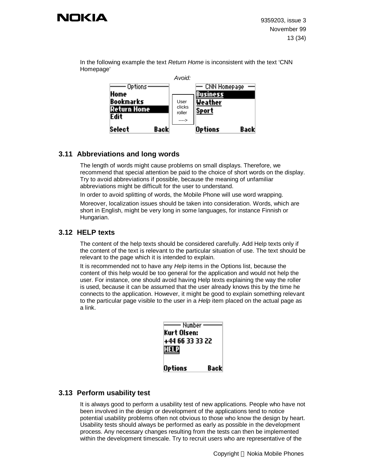

In the following example the text *Return Home* is inconsistent with the text 'CNN Homepage'



### **3.11 Abbreviations and long words**

The length of words might cause problems on small displays. Therefore, we recommend that special attention be paid to the choice of short words on the display. Try to avoid abbreviations if possible, because the meaning of unfamiliar abbreviations might be difficult for the user to understand.

In order to avoid splitting of words, the Mobile Phone will use word wrapping. Moreover, localization issues should be taken into consideration. Words, which are short in English, might be very long in some languages, for instance Finnish or

## **3.12 HELP texts**

Hungarian.

The content of the help texts should be considered carefully. Add Help texts only if the content of the text is relevant to the particular situation of use. The text should be relevant to the page which it is intended to explain.

It is recommended not to have any *Help* items in the Options list, because the content of this help would be too general for the application and would not help the user. For instance, one should avoid having Help texts explaining the way the roller is used, because it can be assumed that the user already knows this by the time he connects to the application. However, it might be good to explain something relevant to the particular page visible to the user in a *Help* item placed on the actual page as a link.

| Number :<br>Kurt Olsen:<br>+44 66 33 33 22<br><u>HELP</u> |      |
|-----------------------------------------------------------|------|
| Options                                                   | Back |

### **3.13 Perform usability test**

It is always good to perform a usability test of new applications. People who have not been involved in the design or development of the applications tend to notice potential usability problems often not obvious to those who know the design by heart. Usability tests should always be performed as early as possible in the development process. Any necessary changes resulting from the tests can then be implemented within the development timescale. Try to recruit users who are representative of the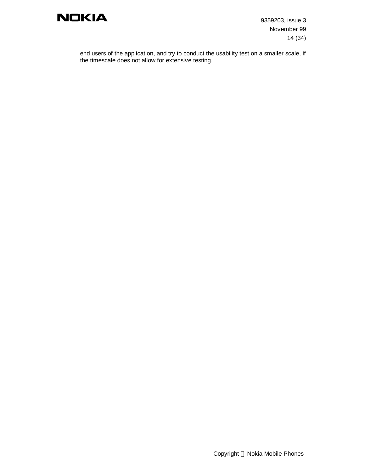

9359203, issue 3 November 99 14 (34)

end users of the application, and try to conduct the usability test on a smaller scale, if the timescale does not allow for extensive testing.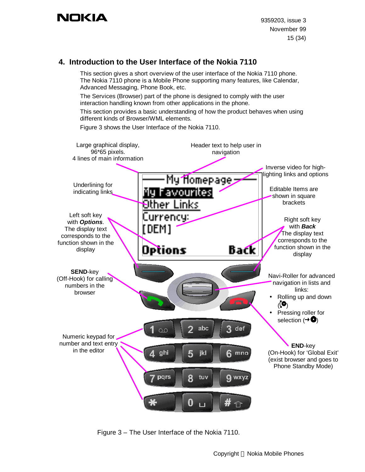## **4. Introduction to the User Interface of the Nokia 7110**

This section gives a short overview of the user interface of the Nokia 7110 phone. The Nokia 7110 phone is a Mobile Phone supporting many features, like Calendar, Advanced Messaging, Phone Book, etc.

The Services (Browser) part of the phone is designed to comply with the user interaction handling known from other applications in the phone.

This section provides a basic understanding of how the product behaves when using different kinds of Browser/WML elements.

Figure 3 shows the User Interface of the Nokia 7110.



Figure 3 – The User Interface of the Nokia 7110.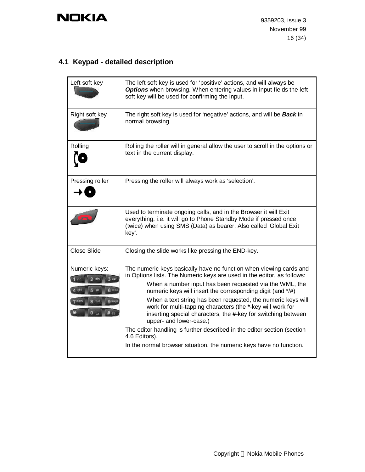## **4.1 Keypad - detailed description**

| Left soft key                                                                   | The left soft key is used for 'positive' actions, and will always be<br>Options when browsing. When entering values in input fields the left<br>soft key will be used for confirming the input.                                                                                                                                                                                                                                                                                                                                                                                                                                                                    |
|---------------------------------------------------------------------------------|--------------------------------------------------------------------------------------------------------------------------------------------------------------------------------------------------------------------------------------------------------------------------------------------------------------------------------------------------------------------------------------------------------------------------------------------------------------------------------------------------------------------------------------------------------------------------------------------------------------------------------------------------------------------|
| Right soft key                                                                  | The right soft key is used for 'negative' actions, and will be <b>Back</b> in<br>normal browsing.                                                                                                                                                                                                                                                                                                                                                                                                                                                                                                                                                                  |
| Rolling                                                                         | Rolling the roller will in general allow the user to scroll in the options or<br>text in the current display.                                                                                                                                                                                                                                                                                                                                                                                                                                                                                                                                                      |
| Pressing roller                                                                 | Pressing the roller will always work as 'selection'.                                                                                                                                                                                                                                                                                                                                                                                                                                                                                                                                                                                                               |
|                                                                                 | Used to terminate ongoing calls, and in the Browser it will Exit<br>everything, i.e. it will go to Phone Standby Mode if pressed once<br>(twice) when using SMS (Data) as bearer. Also called 'Global Exit<br>key'.                                                                                                                                                                                                                                                                                                                                                                                                                                                |
| <b>Close Slide</b>                                                              | Closing the slide works like pressing the END-key.                                                                                                                                                                                                                                                                                                                                                                                                                                                                                                                                                                                                                 |
| Numeric keys:<br>3 <sub>cat</sub><br>$A$ shi<br>$B$ av<br>pgrs<br><b>Q</b> wide | The numeric keys basically have no function when viewing cards and<br>in Options lists. The Numeric keys are used in the editor, as follows:<br>When a number input has been requested via the WML, the<br>numeric keys will insert the corresponding digit (and */#)<br>When a text string has been requested, the numeric keys will<br>work for multi-tapping characters (the *-key will work for<br>inserting special characters, the #-key for switching between<br>upper- and lower-case.)<br>The editor handling is further described in the editor section (section<br>4.6 Editors).<br>In the normal browser situation, the numeric keys have no function. |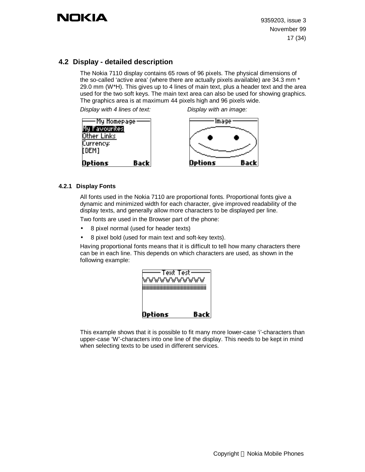## **4.2 Display - detailed description**

The Nokia 7110 display contains 65 rows of 96 pixels. The physical dimensions of the so-called 'active area' (where there are actually pixels available) are 34.3 mm \* 29.0 mm (W\*H). This gives up to 4 lines of main text, plus a header text and the area used for the two soft keys. The main text area can also be used for showing graphics. The graphics area is at maximum 44 pixels high and 96 pixels wide.

*Display with 4 lines of text: Display with an image:*



#### **4.2.1 Display Fonts**

All fonts used in the Nokia 7110 are proportional fonts. Proportional fonts give a dynamic and minimized width for each character, give improved readability of the display texts, and generally allow more characters to be displayed per line.

Two fonts are used in the Browser part of the phone:

- 8 pixel normal (used for header texts)
- 8 pixel bold (used for main text and soft-key texts).

Having proportional fonts means that it is difficult to tell how many characters there can be in each line. This depends on which characters are used, as shown in the following example:



This example shows that it is possible to fit many more lower-case 'i'-characters than upper-case 'W'-characters into one line of the display. This needs to be kept in mind when selecting texts to be used in different services.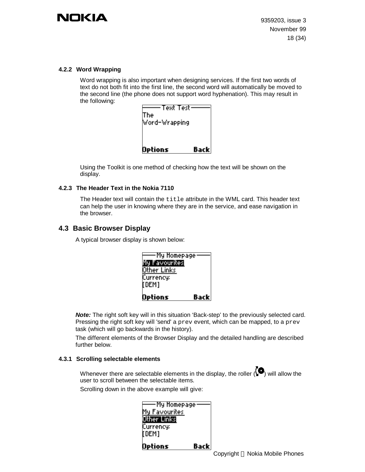

#### **4.2.2 Word Wrapping**

Word wrapping is also important when designing services. If the first two words of text do not both fit into the first line, the second word will automatically be moved to the second line (the phone does not support word hyphenation). This may result in the following:



Using the Toolkit is one method of checking how the text will be shown on the display.

#### **4.2.3 The Header Text in the Nokia 7110**

The Header text will contain the title attribute in the WML card. This header text can help the user in knowing where they are in the service, and ease navigation in the browser.

### **4.3 Basic Browser Display**

A typical browser display is shown below:

| -My Homepage<br>My Favourites<br>Other Links |      |
|----------------------------------------------|------|
| (Currency:<br>li dem j<br>Options            | Back |

**Note:** The right soft key will in this situation 'Back-step' to the previously selected card. Pressing the right soft key will 'send' a prev event, which can be mapped, to a prev task (which will go backwards in the history).

The different elements of the Browser Display and the detailed handling are described further below.

#### **4.3.1 Scrolling selectable elements**

Whenever there are selectable elements in the display, the roller  $(\bigodot)$  will allow the user to scroll between the selectable items.

Scrolling down in the above example will give:

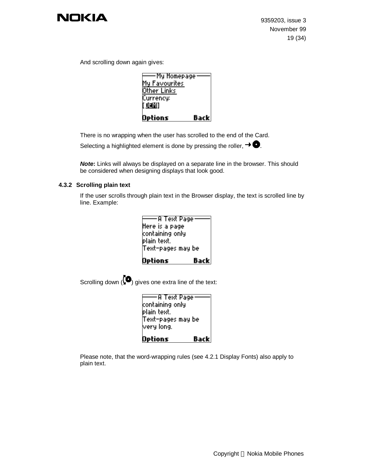

And scrolling down again gives:

| -My Homepage<br>My Favourites<br>Other Links<br>(Currency:<br>[ 030] |      |
|----------------------------------------------------------------------|------|
| Options                                                              | Back |

There is no wrapping when the user has scrolled to the end of the Card.

Selecting a highlighted element is done by pressing the roller,  $\rightarrow \bullet$ .

*Note***:** Links will always be displayed on a separate line in the browser. This should be considered when designing displays that look good.

#### **4.3.2 Scrolling plain text**

If the user scrolls through plain text in the Browser display, the text is scrolled line by line. Example:

| -A Text Page      |      |
|-------------------|------|
| Here is a page    |      |
| containing only   |      |
| þlain text.       |      |
| Text-pages may be |      |
|                   |      |
| <b>Options</b>    | Back |

Scrolling down  $\langle \bullet \rangle$  gives one extra line of the text:

| -A Text Page      |       |
|-------------------|-------|
| containing only   |       |
| plain text.       |       |
| Text-pages may be |       |
| very long.        |       |
|                   |       |
| Options           | Backl |

Please note, that the word-wrapping rules (see 4.2.1 Display Fonts) also apply to plain text.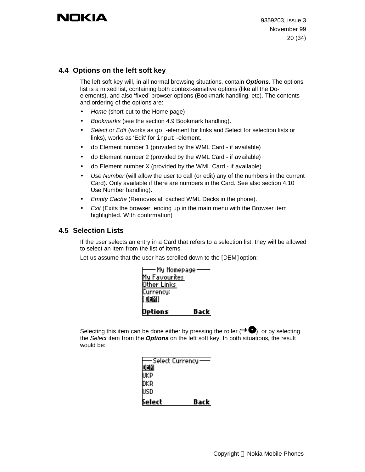### **4.4 Options on the left soft key**

The left soft key will, in all normal browsing situations, contain *Options*. The options list is a mixed list, containing both context-sensitive options (like all the Doelements), and also 'fixed' browser options (Bookmark handling, etc). The contents and ordering of the options are:

- *Home* (short-cut to the Home page)
- *Bookmarks* (see the section 4.9 Bookmark handling).
- *Select* or *Edit* (works as go -element for links and Select for selection lists or links), works as 'Edit' for input -element.
- do Element number 1 (provided by the WML Card if available)
- do Element number 2 (provided by the WML Card if available)
- do Element number X (provided by the WML Card if available)
- *Use Number* (will allow the user to call (or edit) any of the numbers in the current Card). Only available if there are numbers in the Card. See also section 4.10 Use Number handling).
- *Empty Cache* (Removes all cached WML Decks in the phone).
- *Exit* (Exits the browser, ending up in the main menu with the Browser item highlighted. With confirmation)

### **4.5 Selection Lists**

If the user selects an entry in a Card that refers to a selection list, they will be allowed to select an item from the list of items.

Let us assume that the user has scrolled down to the [DEM] option:

| -My Homepage  |       |
|---------------|-------|
| My Favourites |       |
| Other Links   |       |
| Currency:     |       |
| r ozni        |       |
|               |       |
| Options       | Backl |

Selecting this item can be done either by pressing the roller ( $\rightarrow \bullet$ ), or by selecting the *Select* item from the *Options* on the left soft key. In both situations, the result would be:

| Select Currency |      |
|-----------------|------|
| <u> 110 </u>    |      |
| UKP             |      |
| DKR             |      |
| USD             |      |
| Select          | Back |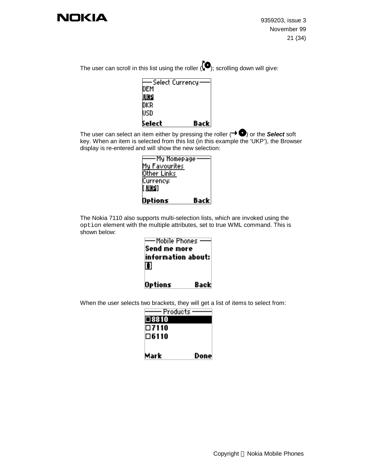

9359203, issue 3 November 99 21 (34)

The user can scroll in this list using the roller  $\langle \bullet \rangle$ ; scrolling down will give:

| -Select Currency |      |
|------------------|------|
| DEM              |      |
| <u>UXP</u>       |      |
| DKR              |      |
| USD              |      |
| Select           | Back |

The user can select an item either by pressing the roller  $( \rightarrow \bullet)$  or the **Select** soft key. When an item is selected from this list (in this example the 'UKP'), the Browser display is re-entered and will show the new selection:

| -My Homepage  |       |
|---------------|-------|
| My Favourites |       |
| Other Links   |       |
| Currency:     |       |
| [[UXP]        |       |
|               |       |
| Options       | Backl |

The Nokia 7110 also supports multi-selection lists, which are invoked using the option element with the multiple attributes, set to true WML command. This is shown below:



When the user selects two brackets, they will get a list of items to select from:

| Products:   |       |
|-------------|-------|
| I⊟ 8810     |       |
| □7110       |       |
| $\Box 6110$ |       |
|             |       |
| Mark        | Donel |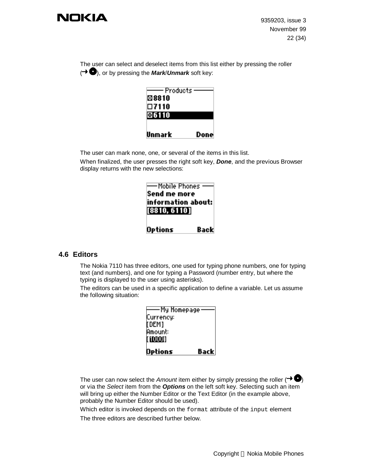

9359203, issue 3 November 99 22 (34)

The user can select and deselect items from this list either by pressing the roller (**→ ●**), or by pressing the **Mark/Unmark** soft key:

| - Products i |      |
|--------------|------|
| ⊠8810        |      |
| $\Box$ 7110  |      |
| ⊗6110        |      |
|              |      |
|              |      |
| Unmark       | Done |

The user can mark none, one, or several of the items in this list.

When finalized, the user presses the right soft key, *Done*, and the previous Browser display returns with the new selections:

| —Mobile Phones -<br>Send me more<br>information about:<br>[8810, 6110] |      |
|------------------------------------------------------------------------|------|
| <b>Options</b>                                                         | Back |

### **4.6 Editors**

The Nokia 7110 has three editors, one used for typing phone numbers, one for typing text (and numbers), and one for typing a Password (number entry, but where the typing is displayed to the user using asterisks).

The editors can be used in a specific application to define a variable. Let us assume the following situation:

| My Homepage -  |      |
|----------------|------|
| Currency:      |      |
| [[DEM]         |      |
| <b>Amount:</b> |      |
| IT HOOOO T     |      |
|                |      |
| Options        | Back |

The user can now select the *Amount* item either by simply pressing the roller ( $\rightarrow \bullet$ ) or via the *Select* item from the *Options* on the left soft key. Selecting such an item will bring up either the Number Editor or the Text Editor (in the example above, probably the Number Editor should be used).

Which editor is invoked depends on the format attribute of the input element

The three editors are described further below.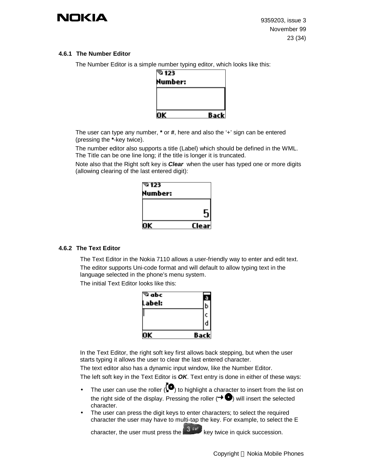

#### **4.6.1 The Number Editor**

The Number Editor is a simple number typing editor, which looks like this:

| $\sqrt[3]{123}$ |       |
|-----------------|-------|
| Number:         |       |
|                 |       |
|                 |       |
|                 |       |
| V               | Backl |

The user can type any number, **\*** or **#**, here and also the '+' sign can be entered (pressing the **\***-key twice).

The number editor also supports a title (Label) which should be defined in the WML. The Title can be one line long; if the title is longer it is truncated.

Note also that the Right soft key is *Clear* when the user has typed one or more digits (allowing clearing of the last entered digit):

| ≌⊺23    |       |
|---------|-------|
| Number: |       |
|         |       |
|         | 5     |
|         |       |
| nк      | Clear |

#### **4.6.2 The Text Editor**

The Text Editor in the Nokia 7110 allows a user-friendly way to enter and edit text. The editor supports Uni-code format and will default to allow typing text in the language selected in the phone's menu system.

The initial Text Editor looks like this:

| ΠK            | Back |  |
|---------------|------|--|
|               | r    |  |
|               | с    |  |
| Label:        | Þ    |  |
| $^\infty$ abc | E.   |  |

In the Text Editor, the right soft key first allows back stepping, but when the user starts typing it allows the user to clear the last entered character.

The text editor also has a dynamic input window, like the Number Editor.

The left soft key in the Text Editor is *OK*. Text entry is done in either of these ways:

- The user can use the roller  $\overline{(} \bullet )$  to highlight a character to insert from the list on the right side of the display. Pressing the roller  $( \rightarrow \bullet )$  will insert the selected character.
- The user can press the digit keys to enter characters; to select the required character the user may have to multi-tap the key. For example, to select the E

character, the user must press the  $k^{\frac{3}{3} \text{ def}}$  key twice in quick succession.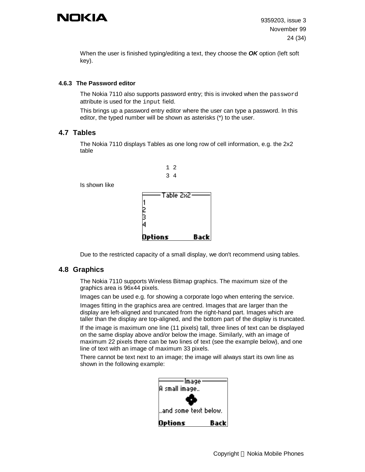When the user is finished typing/editing a text, they choose the *OK* option (left soft key).

#### **4.6.3 The Password editor**

The Nokia 7110 also supports password entry; this is invoked when the password attribute is used for the input field.

This brings up a password entry editor where the user can type a password. In this editor, the typed number will be shown as asterisks (\*) to the user.

### **4.7 Tables**

The Nokia 7110 displays Tables as one long row of cell information, e.g. the 2x2 table



Is shown like

Due to the restricted capacity of a small display, we don't recommend using tables.

### **4.8 Graphics**

The Nokia 7110 supports Wireless Bitmap graphics. The maximum size of the graphics area is 96x44 pixels.

Images can be used e.g. for showing a corporate logo when entering the service.

Images fitting in the graphics area are centred. Images that are larger than the display are left-aligned and truncated from the right-hand part. Images which are taller than the display are top-aligned, and the bottom part of the display is truncated.

If the image is maximum one line (11 pixels) tall, three lines of text can be displayed on the same display above and/or below the image. Similarly, with an image of maximum 22 pixels there can be two lines of text (see the example below), and one line of text with an image of maximum 33 pixels.

There cannot be text next to an image; the image will always start its own line as shown in the following example:

| Image                |      |
|----------------------|------|
| IA small image       |      |
|                      |      |
| and some text below. |      |
| Options              | Back |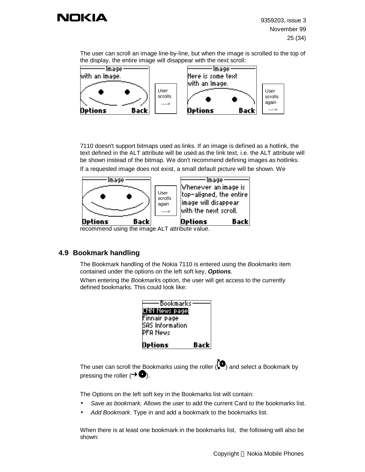The user can scroll an image line-by-line, but when the image is scrolled to the top of the display, the entire image will disappear with the next scroll:



7110 doesn't support bitmaps used as links. If an image is defined as a hotlink, the text defined in the ALT attribute will be used as the link text, i.e. the ALT attribute will be shown instead of the bitmap. We don't recommend defining images as hotlinks. If a requested image does not exist, a small default picture will be shown. We



recommend using the image ALT attribute value.

## **4.9 Bookmark handling**

The Bookmark handling of the Nokia 7110 is entered using the *Bookmarks* item contained under the options on the left soft key, *Options*.

When entering the *Bookmark*s option, the user will get access to the currently defined bookmarks. This could look like:

| Bookmarks                            |      |
|--------------------------------------|------|
| <b>CNN News page</b><br>Finnair page |      |
| ISAS Information                     |      |
| PFA News                             |      |
| Options                              | Back |

The user can scroll the Bookmarks using the roller  $\langle \bullet \rangle$  and select a Bookmark by pressing the roller ( $\rightarrow$   $\bullet$ ).

The Options on the left soft key in the Bookmarks list will contain:

- *Save as bookmark.* Allows the user to add the current Card to the bookmarks list.
- *Add Bookmark*. Type in and add a bookmark to the bookmarks list.

When there is at least one bookmark in the bookmarks list, the following will also be shown: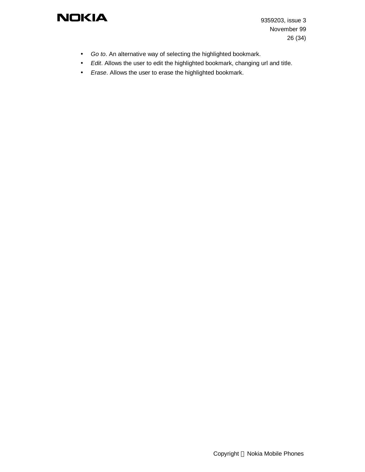9359203, issue 3 November 99 26 (34)

- *Go to*. An alternative way of selecting the highlighted bookmark.
- *Edit*. Allows the user to edit the highlighted bookmark, changing url and title.
- *Erase*. Allows the user to erase the highlighted bookmark.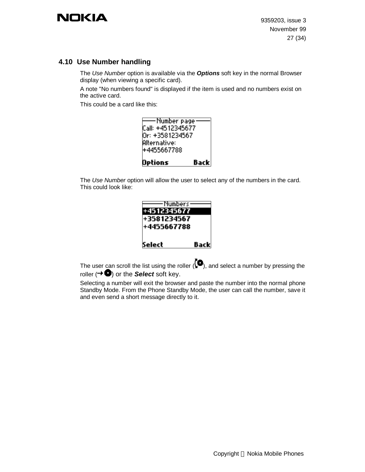## **4.10 Use Number handling**

The *Use Number* option is available via the *Options* soft key in the normal Browser display (when viewing a specific card).

A note "No numbers found" is displayed if the item is used and no numbers exist on the active card.

This could be a card like this:

| ·Number page<br> Call: +4512345677<br>lOr: +3581234567<br>lAlternative: |
|-------------------------------------------------------------------------|
| l+4455667788                                                            |
| Back<br>Options                                                         |

The *Use Number* option will allow the user to select any of the numbers in the card. This could look like:

| Numbers     |       |
|-------------|-------|
| +4512345677 |       |
| +3581234567 |       |
| +4455667788 |       |
|             |       |
| Select      | Backl |

The user can scroll the list using the roller  $\langle \bullet \rangle$ , and select a number by pressing the roller  $(\rightarrow \bullet)$  or the **Select** soft key.

Selecting a number will exit the browser and paste the number into the normal phone Standby Mode. From the Phone Standby Mode, the user can call the number, save it and even send a short message directly to it.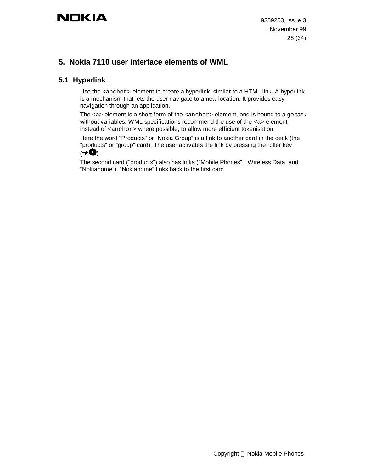## **5. Nokia 7110 user interface elements of WML**

## **5.1 Hyperlink**

Use the <anchor> element to create a hyperlink, similar to a HTML link. A hyperlink is a mechanism that lets the user navigate to a new location. It provides easy navigation through an application.

The  $\langle$ a > element is a short form of the  $\langle$ anchor > element, and is bound to a go task without variables. WML specifications recommend the use of the <a> element instead of  $\alpha$  anchor> where possible, to allow more efficient tokenisation.

Here the word "Products" or "Nokia Group" is a link to another card in the deck (the "products" or "group" card). The user activates the link by pressing the roller key  $(1 + \bullet)$ .

The second card ("products") also has links ("Mobile Phones", "Wireless Data, and "Nokiahome"). "Nokiahome" links back to the first card.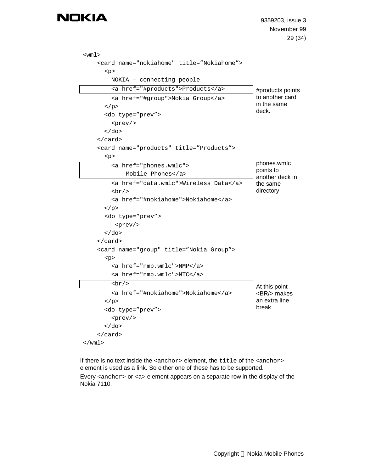```
<wml>
     <card name="nokiahome" title="Nokiahome">
       <p>
          NOKIA – connecting people
          <a href="#products">Products</a>
          <a href="#group">Nokia Group</a>
       \langle/p>
        <do type="prev">
          <prev/>
       \langle do>
     </card>
     <card name="products" title="Products">
       <p>
          <a href="phones.wmlc">
              Mobile Phones</a>
          <a href="data.wmlc">Wireless Data</a>
         br/ <a href="#nokiahome">Nokiahome</a>
       \langle/p>
       <do type="prev">
           <prev/>
       \langle do>
     </card>
     <card name="group" title="Nokia Group">
       <p>
          <a href="nmp.wmlc">NMP</a>
          <a href="nmp.wmlc">NTC</a>
         br/ <a href="#nokiahome">Nokiahome</a>
       \langle/p>
        <do type="prev">
          <prev/>
       \langle do>
     </card>
\langle/wml\rangle#products points
                                                         to another card
                                                         in the same
                                                         deck.
                                                         phones.wmlc
                                                         points to
                                                         another deck in
                                                         the same
                                                         directory.
                                                         At this point
                                                         <BR/> makes
                                                         an extra line
                                                         break.
```
If there is no text inside the <anchor> element, the title of the <anchor> element is used as a link. So either one of these has to be supported. Every <anchor> or <a> element appears on a separate row in the display of the Nokia 7110.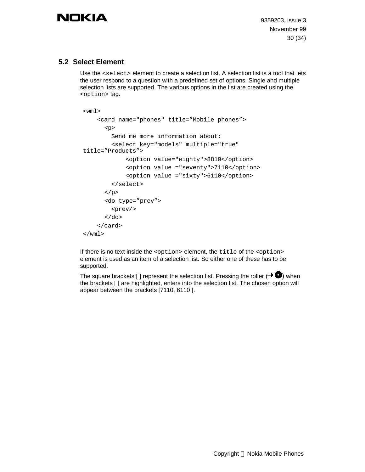9359203, issue 3 November 99 30 (34)

## **5.2 Select Element**

Use the <select> element to create a selection list. A selection list is a tool that lets the user respond to a question with a predefined set of options. Single and multiple selection lists are supported. The various options in the list are created using the <option> tag.

```
<wml>
     <card name="phones" title="Mobile phones">
      <p>
         Send me more information about:
          <select key="models" multiple="true"
title="Products">
              <option value="eighty">8810</option>
              <option value ="seventy">7110</option>
              <option value ="sixty">6110</option>
          </select>
      \langle/p>
      <do type="prev">
          <prev/>
      \langle do>
     </card>
\langle/wml\rangle
```
If there is no text inside the <option> element, the title of the <option> element is used as an item of a selection list. So either one of these has to be supported.

The square brackets [ ] represent the selection list. Pressing the roller ( $\rightarrow \bullet$ ) when the brackets [ ] are highlighted, enters into the selection list. The chosen option will appear between the brackets [7110, 6110 ].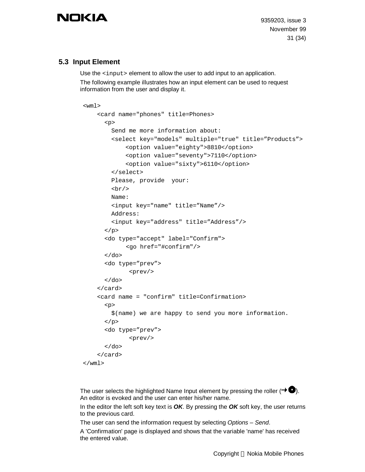9359203, issue 3 November 99 31 (34)

## **5.3 Input Element**

Use the  $\langle$ input> element to allow the user to add input to an application.

The following example illustrates how an input element can be used to request information from the user and display it.

```
<wm1> <card name="phones" title=Phones>
       <sub>0</sub></sub>
          Send me more information about:
          <select key="models" multiple="true" title="Products">
               <option value="eighty">8810</option>
               <option value="seventy">7110</option>
               <option value="sixty">6110</option>
          </select>
          Please, provide your:
         <br/><b>br</b>/<b>></b> Name:
          <input key="name" title="Name"/>
          Address:
          <input key="address" title="Address"/>
       \langle/p>
       <do type="accept" label="Confirm">
              <go href="#confirm"/>
       </do>
       <do type="prev">
                <prev/>
       \langle do>
     </card>
     <card name = "confirm" title=Confirmation>
       <p>
          $(name) we are happy to send you more information.
       \langle/p>
       <do type="prev">
                <prev/>
       \langle do>
     </card>
\langle/wml\rangle
```
The user selects the highlighted Name Input element by pressing the roller  $(\rightarrow \bullet)$ . An editor is evoked and the user can enter his/her name.

In the editor the left soft key text is *OK*. By pressing the *OK* soft key, the user returns to the previous card.

The user can send the information request by selecting *Options* – *Send*.

A 'Confirmation' page is displayed and shows that the variable 'name' has received the entered value.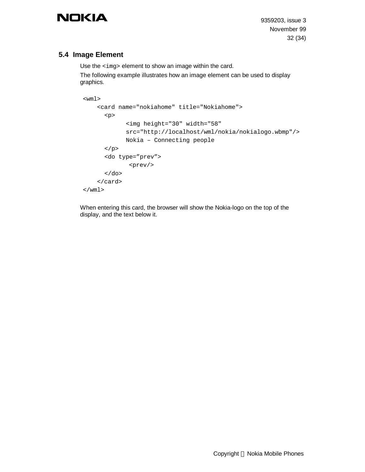9359203, issue 3 November 99 32 (34)

## **5.4 Image Element**

Use the <img> element to show an image within the card. The following example illustrates how an image element can be used to display graphics.

```
<wml <card name="nokiahome" title="Nokiahome">
      <p>
             <img height="30" width="58"
             src="http://localhost/wml/nokia/nokialogo.wbmp"/>
             Nokia – Connecting people
      \langle/p>
      <do type="prev">
              <prev/>
      \langle do>
     </card>
\langle/wml>
```
When entering this card, the browser will show the Nokia-logo on the top of the display, and the text below it.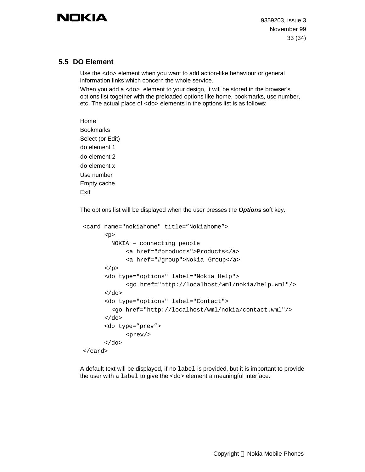9359203, issue 3 November 99 33 (34)

### **5.5 DO Element**

Use the <do> element when you want to add action-like behaviour or general information links which concern the whole service.

When you add a <do> element to your design, it will be stored in the browser's options list together with the preloaded options like home, bookmarks, use number, etc. The actual place of <do> elements in the options list is as follows:

Home Bookmarks Select (or Edit) do element 1 do element 2 do element x Use number Empty cache Exit

The options list will be displayed when the user presses the *Options* soft key.

```
<card name="nokiahome" title="Nokiahome">
      <sub>2</sub></sub>
          NOKIA – connecting people
             <a href="#products">Products</a>
             <a href="#group">Nokia Group</a>
      \langle/p>
       <do type="options" label="Nokia Help">
             <go href="http://localhost/wml/nokia/help.wml"/>
      \langle do>
      <do type="options" label="Contact">
          <go href="http://localhost/wml/nokia/contact.wml"/>
      \langle do>
       <do type="prev">
              <prev/>
      \langle do>
</card>
```
A default text will be displayed, if no label is provided, but it is important to provide the user with a label to give the <do> element a meaningful interface.